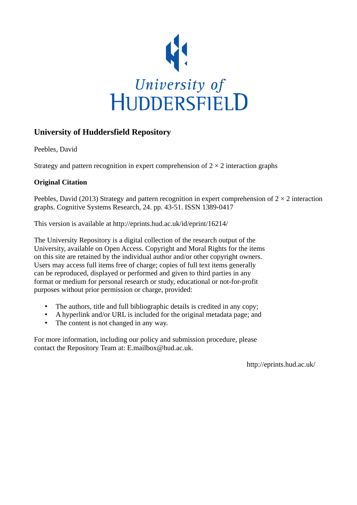

# **University of Huddersfield Repository**

Peebles, David

Strategy and pattern recognition in expert comprehension of  $2 \times 2$  interaction graphs

## **Original Citation**

Peebles, David (2013) Strategy and pattern recognition in expert comprehension of  $2 \times 2$  interaction graphs. Cognitive Systems Research, 24. pp. 43-51. ISSN 1389-0417

This version is available at http://eprints.hud.ac.uk/id/eprint/16214/

The University Repository is a digital collection of the research output of the University, available on Open Access. Copyright and Moral Rights for the items on this site are retained by the individual author and/or other copyright owners. Users may access full items free of charge; copies of full text items generally can be reproduced, displayed or performed and given to third parties in any format or medium for personal research or study, educational or not-for-profit purposes without prior permission or charge, provided:

- The authors, title and full bibliographic details is credited in any copy;
- A hyperlink and/or URL is included for the original metadata page; and
- The content is not changed in any way.

For more information, including our policy and submission procedure, please contact the Repository Team at: E.mailbox@hud.ac.uk.

http://eprints.hud.ac.uk/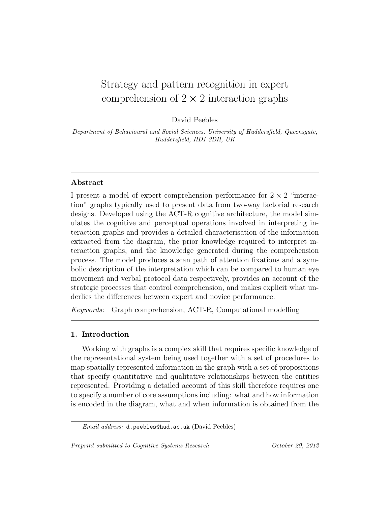# Strategy and pattern recognition in expert comprehension of  $2 \times 2$  interaction graphs

David Peebles

Department of Behavioural and Social Sciences, University of Huddersfield, Queensgate, Huddersfield, HD1 3DH, UK

## Abstract

I present a model of expert comprehension performance for  $2 \times 2$  "interaction" graphs typically used to present data from two-way factorial research designs. Developed using the ACT-R cognitive architecture, the model simulates the cognitive and perceptual operations involved in interpreting interaction graphs and provides a detailed characterisation of the information extracted from the diagram, the prior knowledge required to interpret interaction graphs, and the knowledge generated during the comprehension process. The model produces a scan path of attention fixations and a symbolic description of the interpretation which can be compared to human eye movement and verbal protocol data respectively, provides an account of the strategic processes that control comprehension, and makes explicit what underlies the differences between expert and novice performance.

Keywords: Graph comprehension, ACT-R, Computational modelling

## 1. Introduction

Working with graphs is a complex skill that requires specific knowledge of the representational system being used together with a set of procedures to map spatially represented information in the graph with a set of propositions that specify quantitative and qualitative relationships between the entities represented. Providing a detailed account of this skill therefore requires one to specify a number of core assumptions including: what and how information is encoded in the diagram, what and when information is obtained from the

Email address: d.peebles@hud.ac.uk (David Peebles)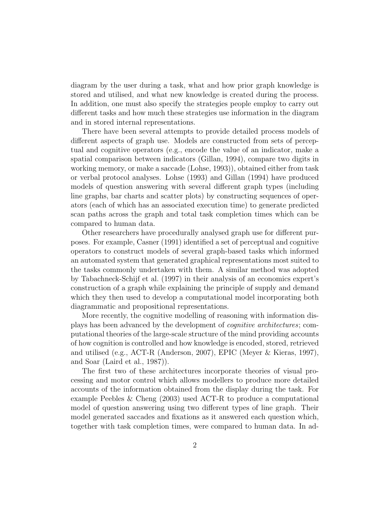diagram by the user during a task, what and how prior graph knowledge is stored and utilised, and what new knowledge is created during the process. In addition, one must also specify the strategies people employ to carry out different tasks and how much these strategies use information in the diagram and in stored internal representations.

There have been several attempts to provide detailed process models of different aspects of graph use. Models are constructed from sets of perceptual and cognitive operators (e.g., encode the value of an indicator, make a spatial comparison between indicators (Gillan, 1994), compare two digits in working memory, or make a saccade (Lohse, 1993)), obtained either from task or verbal protocol analyses. Lohse (1993) and Gillan (1994) have produced models of question answering with several different graph types (including line graphs, bar charts and scatter plots) by constructing sequences of operators (each of which has an associated execution time) to generate predicted scan paths across the graph and total task completion times which can be compared to human data.

Other researchers have procedurally analysed graph use for different purposes. For example, Casner (1991) identified a set of perceptual and cognitive operators to construct models of several graph-based tasks which informed an automated system that generated graphical representations most suited to the tasks commonly undertaken with them. A similar method was adopted by Tabachneck-Schijf et al. (1997) in their analysis of an economics expert's construction of a graph while explaining the principle of supply and demand which they then used to develop a computational model incorporating both diagrammatic and propositional representations.

More recently, the cognitive modelling of reasoning with information displays has been advanced by the development of cognitive architectures; computational theories of the large-scale structure of the mind providing accounts of how cognition is controlled and how knowledge is encoded, stored, retrieved and utilised (e.g., ACT-R (Anderson, 2007), EPIC (Meyer & Kieras, 1997), and Soar (Laird et al., 1987)).

The first two of these architectures incorporate theories of visual processing and motor control which allows modellers to produce more detailed accounts of the information obtained from the display during the task. For example Peebles & Cheng (2003) used ACT-R to produce a computational model of question answering using two different types of line graph. Their model generated saccades and fixations as it answered each question which, together with task completion times, were compared to human data. In ad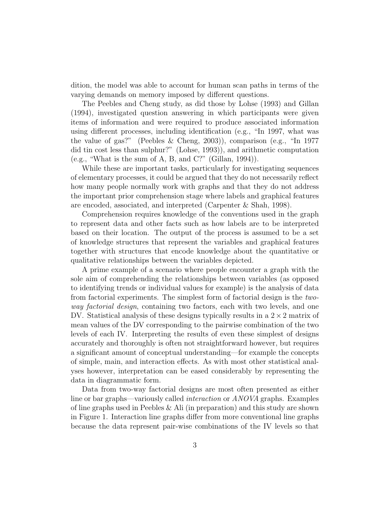dition, the model was able to account for human scan paths in terms of the varying demands on memory imposed by different questions.

The Peebles and Cheng study, as did those by Lohse (1993) and Gillan (1994), investigated question answering in which participants were given items of information and were required to produce associated information using different processes, including identification (e.g., "In 1997, what was the value of gas?" (Peebles & Cheng, 2003)), comparison (e.g., "In 1977 did tin cost less than sulphur?" (Lohse, 1993)), and arithmetic computation (e.g., "What is the sum of A, B, and  $C$ ?" (Gillan, 1994)).

While these are important tasks, particularly for investigating sequences of elementary processes, it could be argued that they do not necessarily reflect how many people normally work with graphs and that they do not address the important prior comprehension stage where labels and graphical features are encoded, associated, and interpreted (Carpenter & Shah, 1998).

Comprehension requires knowledge of the conventions used in the graph to represent data and other facts such as how labels are to be interpreted based on their location. The output of the process is assumed to be a set of knowledge structures that represent the variables and graphical features together with structures that encode knowledge about the quantitative or qualitative relationships between the variables depicted.

A prime example of a scenario where people encounter a graph with the sole aim of comprehending the relationships between variables (as opposed to identifying trends or individual values for example) is the analysis of data from factorial experiments. The simplest form of factorial design is the twoway factorial design, containing two factors, each with two levels, and one DV. Statistical analysis of these designs typically results in a  $2 \times 2$  matrix of mean values of the DV corresponding to the pairwise combination of the two levels of each IV. Interpreting the results of even these simplest of designs accurately and thoroughly is often not straightforward however, but requires a significant amount of conceptual understanding—for example the concepts of simple, main, and interaction effects. As with most other statistical analyses however, interpretation can be eased considerably by representing the data in diagrammatic form.

Data from two-way factorial designs are most often presented as either line or bar graphs—variously called interaction or ANOVA graphs. Examples of line graphs used in Peebles & Ali (in preparation) and this study are shown in Figure 1. Interaction line graphs differ from more conventional line graphs because the data represent pair-wise combinations of the IV levels so that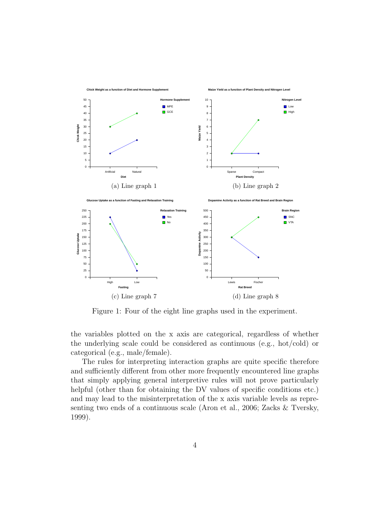

Figure 1: Four of the eight line graphs used in the experiment.

the variables plotted on the x axis are categorical, regardless of whether the underlying scale could be considered as continuous (e.g., hot/cold) or categorical (e.g., male/female).

The rules for interpreting interaction graphs are quite specific therefore and sufficiently different from other more frequently encountered line graphs that simply applying general interpretive rules will not prove particularly helpful (other than for obtaining the DV values of specific conditions etc.) and may lead to the misinterpretation of the x axis variable levels as representing two ends of a continuous scale (Aron et al., 2006; Zacks & Tversky, 1999).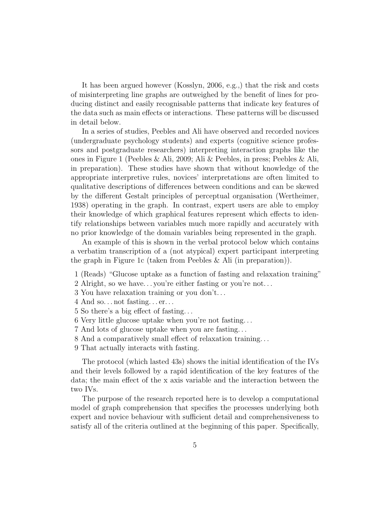It has been argued however (Kosslyn, 2006, e.g.,) that the risk and costs of misinterpreting line graphs are outweighed by the benefit of lines for producing distinct and easily recognisable patterns that indicate key features of the data such as main effects or interactions. These patterns will be discussed in detail below.

In a series of studies, Peebles and Ali have observed and recorded novices (undergraduate psychology students) and experts (cognitive science professors and postgraduate researchers) interpreting interaction graphs like the ones in Figure 1 (Peebles & Ali, 2009; Ali & Peebles, in press; Peebles & Ali, in preparation). These studies have shown that without knowledge of the appropriate interpretive rules, novices' interpretations are often limited to qualitative descriptions of differences between conditions and can be skewed by the different Gestalt principles of perceptual organisation (Wertheimer, 1938) operating in the graph. In contrast, expert users are able to employ their knowledge of which graphical features represent which effects to identify relationships between variables much more rapidly and accurately with no prior knowledge of the domain variables being represented in the graph.

An example of this is shown in the verbal protocol below which contains a verbatim transcription of a (not atypical) expert participant interpreting the graph in Figure 1c (taken from Peebles & Ali (in preparation)).

- 1 (Reads) "Glucose uptake as a function of fasting and relaxation training"
- 2 Alright, so we have. . . you're either fasting or you're not. . .
- 3 You have relaxation training or you don't. . .
- 4 And so. . . not fasting. . . er. . .
- 5 So there's a big effect of fasting. . .
- 6 Very little glucose uptake when you're not fasting. . .
- 7 And lots of glucose uptake when you are fasting. . .
- 8 And a comparatively small effect of relaxation training. . .
- 9 That actually interacts with fasting.

The protocol (which lasted 43s) shows the initial identification of the IVs and their levels followed by a rapid identification of the key features of the data; the main effect of the x axis variable and the interaction between the two IVs.

The purpose of the research reported here is to develop a computational model of graph comprehension that specifies the processes underlying both expert and novice behaviour with sufficient detail and comprehensiveness to satisfy all of the criteria outlined at the beginning of this paper. Specifically,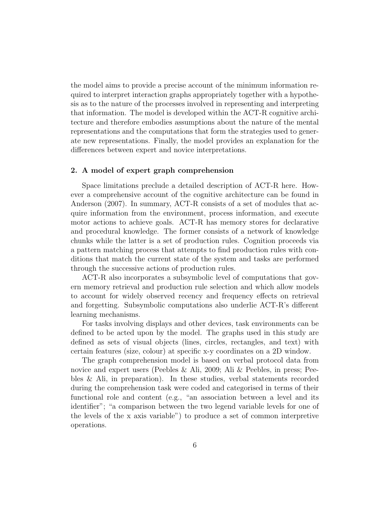the model aims to provide a precise account of the minimum information required to interpret interaction graphs appropriately together with a hypothesis as to the nature of the processes involved in representing and interpreting that information. The model is developed within the ACT-R cognitive architecture and therefore embodies assumptions about the nature of the mental representations and the computations that form the strategies used to generate new representations. Finally, the model provides an explanation for the differences between expert and novice interpretations.

#### 2. A model of expert graph comprehension

Space limitations preclude a detailed description of ACT-R here. However a comprehensive account of the cognitive architecture can be found in Anderson (2007). In summary, ACT-R consists of a set of modules that acquire information from the environment, process information, and execute motor actions to achieve goals. ACT-R has memory stores for declarative and procedural knowledge. The former consists of a network of knowledge chunks while the latter is a set of production rules. Cognition proceeds via a pattern matching process that attempts to find production rules with conditions that match the current state of the system and tasks are performed through the successive actions of production rules.

ACT-R also incorporates a subsymbolic level of computations that govern memory retrieval and production rule selection and which allow models to account for widely observed recency and frequency effects on retrieval and forgetting. Subsymbolic computations also underlie ACT-R's different learning mechanisms.

For tasks involving displays and other devices, task environments can be defined to be acted upon by the model. The graphs used in this study are defined as sets of visual objects (lines, circles, rectangles, and text) with certain features (size, colour) at specific x-y coordinates on a 2D window.

The graph comprehension model is based on verbal protocol data from novice and expert users (Peebles & Ali, 2009; Ali & Peebles, in press; Peebles & Ali, in preparation). In these studies, verbal statements recorded during the comprehension task were coded and categorised in terms of their functional role and content (e.g., "an association between a level and its identifier"; "a comparison between the two legend variable levels for one of the levels of the x axis variable") to produce a set of common interpretive operations.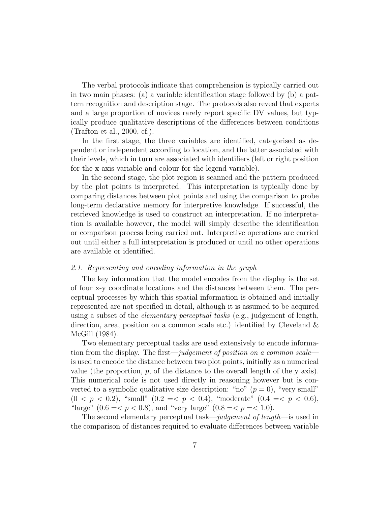The verbal protocols indicate that comprehension is typically carried out in two main phases: (a) a variable identification stage followed by (b) a pattern recognition and description stage. The protocols also reveal that experts and a large proportion of novices rarely report specific DV values, but typically produce qualitative descriptions of the differences between conditions (Trafton et al., 2000, cf.).

In the first stage, the three variables are identified, categorised as dependent or independent according to location, and the latter associated with their levels, which in turn are associated with identifiers (left or right position for the x axis variable and colour for the legend variable).

In the second stage, the plot region is scanned and the pattern produced by the plot points is interpreted. This interpretation is typically done by comparing distances between plot points and using the comparison to probe long-term declarative memory for interpretive knowledge. If successful, the retrieved knowledge is used to construct an interpretation. If no interpretation is available however, the model will simply describe the identification or comparison process being carried out. Interpretive operations are carried out until either a full interpretation is produced or until no other operations are available or identified.

#### 2.1. Representing and encoding information in the graph

The key information that the model encodes from the display is the set of four x-y coordinate locations and the distances between them. The perceptual processes by which this spatial information is obtained and initially represented are not specified in detail, although it is assumed to be acquired using a subset of the elementary perceptual tasks (e.g., judgement of length, direction, area, position on a common scale etc.) identified by Cleveland & McGill (1984).

Two elementary perceptual tasks are used extensively to encode information from the display. The first—*judgement of position on a common scale* is used to encode the distance between two plot points, initially as a numerical value (the proportion,  $p$ , of the distance to the overall length of the y axis). This numerical code is not used directly in reasoning however but is converted to a symbolic qualitative size description: "no"  $(p = 0)$ , "very small"  $(0 < p < 0.2)$ , "small"  $(0.2 = < p < 0.4)$ , "moderate"  $(0.4 = < p < 0.6)$ , "large"  $(0.6 = , and "very large"  $(0.8 = .$$ 

The second elementary perceptual task—judgement of length—is used in the comparison of distances required to evaluate differences between variable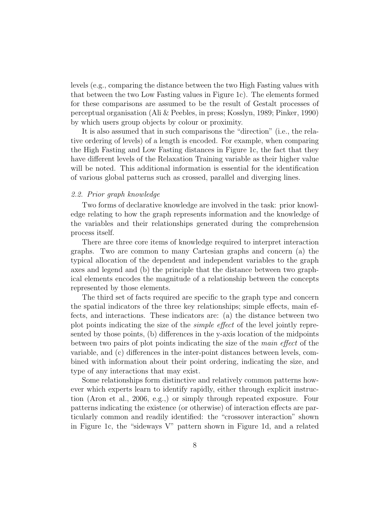levels (e.g., comparing the distance between the two High Fasting values with that between the two Low Fasting values in Figure 1c). The elements formed for these comparisons are assumed to be the result of Gestalt processes of perceptual organisation (Ali & Peebles, in press; Kosslyn, 1989; Pinker, 1990) by which users group objects by colour or proximity.

It is also assumed that in such comparisons the "direction" (i.e., the relative ordering of levels) of a length is encoded. For example, when comparing the High Fasting and Low Fasting distances in Figure 1c, the fact that they have different levels of the Relaxation Training variable as their higher value will be noted. This additional information is essential for the identification of various global patterns such as crossed, parallel and diverging lines.

#### 2.2. Prior graph knowledge

Two forms of declarative knowledge are involved in the task: prior knowledge relating to how the graph represents information and the knowledge of the variables and their relationships generated during the comprehension process itself.

There are three core items of knowledge required to interpret interaction graphs. Two are common to many Cartesian graphs and concern (a) the typical allocation of the dependent and independent variables to the graph axes and legend and (b) the principle that the distance between two graphical elements encodes the magnitude of a relationship between the concepts represented by those elements.

The third set of facts required are specific to the graph type and concern the spatial indicators of the three key relationships; simple effects, main effects, and interactions. These indicators are: (a) the distance between two plot points indicating the size of the simple effect of the level jointly represented by those points, (b) differences in the y-axis location of the midpoints between two pairs of plot points indicating the size of the main effect of the variable, and (c) differences in the inter-point distances between levels, combined with information about their point ordering, indicating the size, and type of any interactions that may exist.

Some relationships form distinctive and relatively common patterns however which experts learn to identify rapidly, either through explicit instruction (Aron et al., 2006, e.g.,) or simply through repeated exposure. Four patterns indicating the existence (or otherwise) of interaction effects are particularly common and readily identified: the "crossover interaction" shown in Figure 1c, the "sideways V" pattern shown in Figure 1d, and a related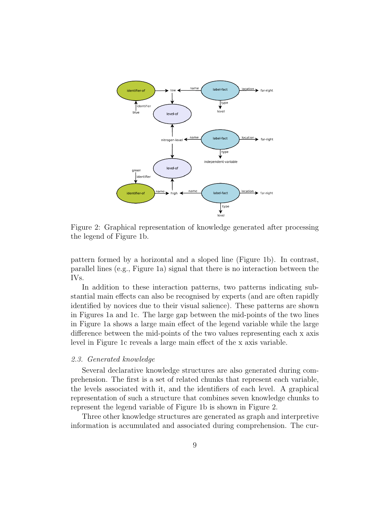

Figure 2: Graphical representation of knowledge generated after processing the legend of Figure 1b.

pattern formed by a horizontal and a sloped line (Figure 1b). In contrast, parallel lines (e.g., Figure 1a) signal that there is no interaction between the IVs.

In addition to these interaction patterns, two patterns indicating substantial main effects can also be recognised by experts (and are often rapidly identified by novices due to their visual salience). These patterns are shown in Figures 1a and 1c. The large gap between the mid-points of the two lines in Figure 1a shows a large main effect of the legend variable while the large difference between the mid-points of the two values representing each x axis level in Figure 1c reveals a large main effect of the x axis variable.

#### 2.3. Generated knowledge

Several declarative knowledge structures are also generated during comprehension. The first is a set of related chunks that represent each variable, the levels associated with it, and the identifiers of each level. A graphical representation of such a structure that combines seven knowledge chunks to represent the legend variable of Figure 1b is shown in Figure 2.

Three other knowledge structures are generated as graph and interpretive information is accumulated and associated during comprehension. The cur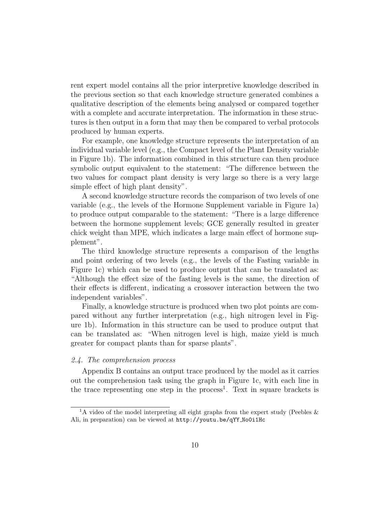rent expert model contains all the prior interpretive knowledge described in the previous section so that each knowledge structure generated combines a qualitative description of the elements being analysed or compared together with a complete and accurate interpretation. The information in these structures is then output in a form that may then be compared to verbal protocols produced by human experts.

For example, one knowledge structure represents the interpretation of an individual variable level (e.g., the Compact level of the Plant Density variable in Figure 1b). The information combined in this structure can then produce symbolic output equivalent to the statement: "The difference between the two values for compact plant density is very large so there is a very large simple effect of high plant density".

A second knowledge structure records the comparison of two levels of one variable (e.g., the levels of the Hormone Supplement variable in Figure 1a) to produce output comparable to the statement: "There is a large difference between the hormone supplement levels; GCE generally resulted in greater chick weight than MPE, which indicates a large main effect of hormone supplement".

The third knowledge structure represents a comparison of the lengths and point ordering of two levels (e.g., the levels of the Fasting variable in Figure 1c) which can be used to produce output that can be translated as: "Although the effect size of the fasting levels is the same, the direction of their effects is different, indicating a crossover interaction between the two independent variables".

Finally, a knowledge structure is produced when two plot points are compared without any further interpretation (e.g., high nitrogen level in Figure 1b). Information in this structure can be used to produce output that can be translated as: "When nitrogen level is high, maize yield is much greater for compact plants than for sparse plants".

#### 2.4. The comprehension process

Appendix B contains an output trace produced by the model as it carries out the comprehension task using the graph in Figure 1c, with each line in the trace representing one step in the  $\mu$  process<sup>1</sup>. Text in square brackets is

<sup>&</sup>lt;sup>1</sup>A video of the model interpreting all eight graphs from the expert study (Peebles  $\&$ Ali, in preparation) can be viewed at http://youtu.be/qYY No0i1Hc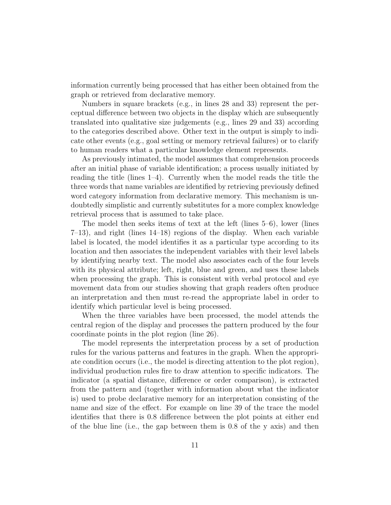information currently being processed that has either been obtained from the graph or retrieved from declarative memory.

Numbers in square brackets (e.g., in lines 28 and 33) represent the perceptual difference between two objects in the display which are subsequently translated into qualitative size judgements (e.g., lines 29 and 33) according to the categories described above. Other text in the output is simply to indicate other events (e.g., goal setting or memory retrieval failures) or to clarify to human readers what a particular knowledge element represents.

As previously intimated, the model assumes that comprehension proceeds after an initial phase of variable identification; a process usually initiated by reading the title (lines 1–4). Currently when the model reads the title the three words that name variables are identified by retrieving previously defined word category information from declarative memory. This mechanism is undoubtedly simplistic and currently substitutes for a more complex knowledge retrieval process that is assumed to take place.

The model then seeks items of text at the left (lines 5–6), lower (lines 7–13), and right (lines 14–18) regions of the display. When each variable label is located, the model identifies it as a particular type according to its location and then associates the independent variables with their level labels by identifying nearby text. The model also associates each of the four levels with its physical attribute; left, right, blue and green, and uses these labels when processing the graph. This is consistent with verbal protocol and eye movement data from our studies showing that graph readers often produce an interpretation and then must re-read the appropriate label in order to identify which particular level is being processed.

When the three variables have been processed, the model attends the central region of the display and processes the pattern produced by the four coordinate points in the plot region (line 26).

The model represents the interpretation process by a set of production rules for the various patterns and features in the graph. When the appropriate condition occurs (i.e., the model is directing attention to the plot region), individual production rules fire to draw attention to specific indicators. The indicator (a spatial distance, difference or order comparison), is extracted from the pattern and (together with information about what the indicator is) used to probe declarative memory for an interpretation consisting of the name and size of the effect. For example on line 39 of the trace the model identifies that there is 0.8 difference between the plot points at either end of the blue line (i.e., the gap between them is 0.8 of the y axis) and then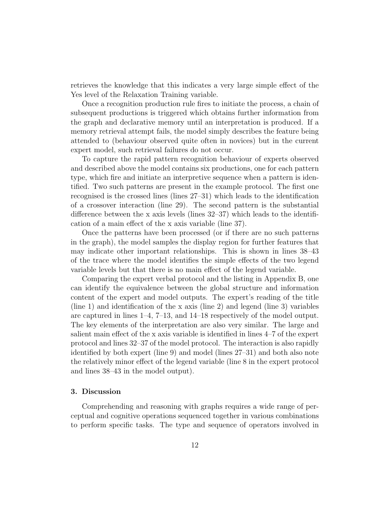retrieves the knowledge that this indicates a very large simple effect of the Yes level of the Relaxation Training variable.

Once a recognition production rule fires to initiate the process, a chain of subsequent productions is triggered which obtains further information from the graph and declarative memory until an interpretation is produced. If a memory retrieval attempt fails, the model simply describes the feature being attended to (behaviour observed quite often in novices) but in the current expert model, such retrieval failures do not occur.

To capture the rapid pattern recognition behaviour of experts observed and described above the model contains six productions, one for each pattern type, which fire and initiate an interpretive sequence when a pattern is identified. Two such patterns are present in the example protocol. The first one recognised is the crossed lines (lines 27–31) which leads to the identification of a crossover interaction (line 29). The second pattern is the substantial difference between the x axis levels (lines 32–37) which leads to the identification of a main effect of the x axis variable (line 37).

Once the patterns have been processed (or if there are no such patterns in the graph), the model samples the display region for further features that may indicate other important relationships. This is shown in lines 38–43 of the trace where the model identifies the simple effects of the two legend variable levels but that there is no main effect of the legend variable.

Comparing the expert verbal protocol and the listing in Appendix B, one can identify the equivalence between the global structure and information content of the expert and model outputs. The expert's reading of the title (line 1) and identification of the x axis (line 2) and legend (line 3) variables are captured in lines 1–4, 7–13, and 14–18 respectively of the model output. The key elements of the interpretation are also very similar. The large and salient main effect of the x axis variable is identified in lines 4–7 of the expert protocol and lines 32–37 of the model protocol. The interaction is also rapidly identified by both expert (line 9) and model (lines 27–31) and both also note the relatively minor effect of the legend variable (line 8 in the expert protocol and lines 38–43 in the model output).

#### 3. Discussion

Comprehending and reasoning with graphs requires a wide range of perceptual and cognitive operations sequenced together in various combinations to perform specific tasks. The type and sequence of operators involved in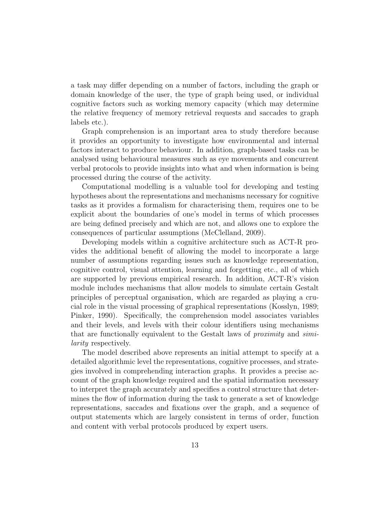a task may differ depending on a number of factors, including the graph or domain knowledge of the user, the type of graph being used, or individual cognitive factors such as working memory capacity (which may determine the relative frequency of memory retrieval requests and saccades to graph labels etc.).

Graph comprehension is an important area to study therefore because it provides an opportunity to investigate how environmental and internal factors interact to produce behaviour. In addition, graph-based tasks can be analysed using behavioural measures such as eye movements and concurrent verbal protocols to provide insights into what and when information is being processed during the course of the activity.

Computational modelling is a valuable tool for developing and testing hypotheses about the representations and mechanisms necessary for cognitive tasks as it provides a formalism for characterising them, requires one to be explicit about the boundaries of one's model in terms of which processes are being defined precisely and which are not, and allows one to explore the consequences of particular assumptions (McClelland, 2009).

Developing models within a cognitive architecture such as ACT-R provides the additional benefit of allowing the model to incorporate a large number of assumptions regarding issues such as knowledge representation, cognitive control, visual attention, learning and forgetting etc., all of which are supported by previous empirical research. In addition, ACT-R's vision module includes mechanisms that allow models to simulate certain Gestalt principles of perceptual organisation, which are regarded as playing a crucial role in the visual processing of graphical representations (Kosslyn, 1989; Pinker, 1990). Specifically, the comprehension model associates variables and their levels, and levels with their colour identifiers using mechanisms that are functionally equivalent to the Gestalt laws of proximity and similarity respectively.

The model described above represents an initial attempt to specify at a detailed algorithmic level the representations, cognitive processes, and strategies involved in comprehending interaction graphs. It provides a precise account of the graph knowledge required and the spatial information necessary to interpret the graph accurately and specifies a control structure that determines the flow of information during the task to generate a set of knowledge representations, saccades and fixations over the graph, and a sequence of output statements which are largely consistent in terms of order, function and content with verbal protocols produced by expert users.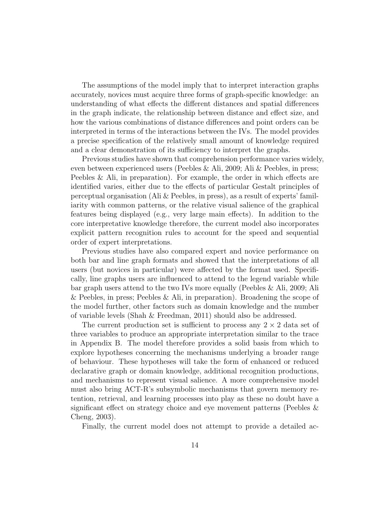The assumptions of the model imply that to interpret interaction graphs accurately, novices must acquire three forms of graph-specific knowledge: an understanding of what effects the different distances and spatial differences in the graph indicate, the relationship between distance and effect size, and how the various combinations of distance differences and point orders can be interpreted in terms of the interactions between the IVs. The model provides a precise specification of the relatively small amount of knowledge required and a clear demonstration of its sufficiency to interpret the graphs.

Previous studies have shown that comprehension performance varies widely, even between experienced users (Peebles & Ali, 2009; Ali & Peebles, in press; Peebles & Ali, in preparation). For example, the order in which effects are identified varies, either due to the effects of particular Gestalt principles of perceptual organisation (Ali & Peebles, in press), as a result of experts' familiarity with common patterns, or the relative visual salience of the graphical features being displayed (e.g., very large main effects). In addition to the core interpretative knowledge therefore, the current model also incorporates explicit pattern recognition rules to account for the speed and sequential order of expert interpretations.

Previous studies have also compared expert and novice performance on both bar and line graph formats and showed that the interpretations of all users (but novices in particular) were affected by the format used. Specifically, line graphs users are influenced to attend to the legend variable while bar graph users attend to the two IVs more equally (Peebles & Ali, 2009; Ali & Peebles, in press; Peebles & Ali, in preparation). Broadening the scope of the model further, other factors such as domain knowledge and the number of variable levels (Shah & Freedman, 2011) should also be addressed.

The current production set is sufficient to process any  $2 \times 2$  data set of three variables to produce an appropriate interpretation similar to the trace in Appendix B. The model therefore provides a solid basis from which to explore hypotheses concerning the mechanisms underlying a broader range of behaviour. These hypotheses will take the form of enhanced or reduced declarative graph or domain knowledge, additional recognition productions, and mechanisms to represent visual salience. A more comprehensive model must also bring ACT-R's subsymbolic mechanisms that govern memory retention, retrieval, and learning processes into play as these no doubt have a significant effect on strategy choice and eye movement patterns (Peebles & Cheng, 2003).

Finally, the current model does not attempt to provide a detailed ac-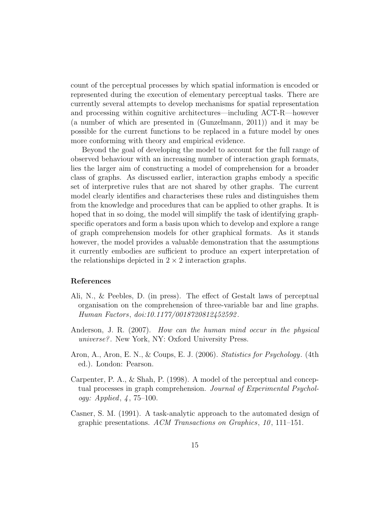count of the perceptual processes by which spatial information is encoded or represented during the execution of elementary perceptual tasks. There are currently several attempts to develop mechanisms for spatial representation and processing within cognitive architectures—including ACT-R—however (a number of which are presented in (Gunzelmann, 2011)) and it may be possible for the current functions to be replaced in a future model by ones more conforming with theory and empirical evidence.

Beyond the goal of developing the model to account for the full range of observed behaviour with an increasing number of interaction graph formats, lies the larger aim of constructing a model of comprehension for a broader class of graphs. As discussed earlier, interaction graphs embody a specific set of interpretive rules that are not shared by other graphs. The current model clearly identifies and characterises these rules and distinguishes them from the knowledge and procedures that can be applied to other graphs. It is hoped that in so doing, the model will simplify the task of identifying graphspecific operators and form a basis upon which to develop and explore a range of graph comprehension models for other graphical formats. As it stands however, the model provides a valuable demonstration that the assumptions it currently embodies are sufficient to produce an expert interpretation of the relationships depicted in  $2 \times 2$  interaction graphs.

#### References

- Ali, N., & Peebles, D. (in press). The effect of Gestalt laws of perceptual organisation on the comprehension of three-variable bar and line graphs. Human Factors, doi:10.1177/0018720812452592 .
- Anderson, J. R. (2007). How can the human mind occur in the physical universe?. New York, NY: Oxford University Press.
- Aron, A., Aron, E. N., & Coups, E. J. (2006). Statistics for Psychology. (4th ed.). London: Pearson.
- Carpenter, P. A., & Shah, P. (1998). A model of the perceptual and conceptual processes in graph comprehension. Journal of Experimental Psychol*ogy: Applied, 4, 75–100.*
- Casner, S. M. (1991). A task-analytic approach to the automated design of graphic presentations. ACM Transactions on Graphics,  $10$ , 111–151.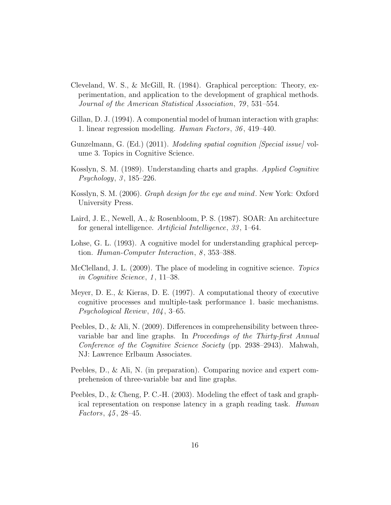- Cleveland, W. S., & McGill, R. (1984). Graphical perception: Theory, experimentation, and application to the development of graphical methods. Journal of the American Statistical Association, 79, 531–554.
- Gillan, D. J. (1994). A componential model of human interaction with graphs: 1. linear regression modelling. Human Factors, 36 , 419–440.
- Gunzelmann, G. (Ed.) (2011). *Modeling spatial cognition [Special issue]* volume 3. Topics in Cognitive Science.
- Kosslyn, S. M. (1989). Understanding charts and graphs. Applied Cognitive  $Psychology, 3, 185-226.$
- Kosslyn, S. M. (2006). Graph design for the eye and mind. New York: Oxford University Press.
- Laird, J. E., Newell, A., & Rosenbloom, P. S. (1987). SOAR: An architecture for general intelligence. Artificial Intelligence, 33 , 1–64.
- Lohse, G. L. (1993). A cognitive model for understanding graphical perception. Human-Computer Interaction, 8, 353–388.
- McClelland, J. L. (2009). The place of modeling in cognitive science. Topics in Cognitive Science, 1, 11–38.
- Meyer, D. E., & Kieras, D. E. (1997). A computational theory of executive cognitive processes and multiple-task performance 1. basic mechanisms. Psychological Review, 104 , 3–65.
- Peebles, D., & Ali, N. (2009). Differences in comprehensibility between threevariable bar and line graphs. In Proceedings of the Thirty-first Annual Conference of the Cognitive Science Society (pp. 2938–2943). Mahwah, NJ: Lawrence Erlbaum Associates.
- Peebles, D., & Ali, N. (in preparation). Comparing novice and expert comprehension of three-variable bar and line graphs.
- Peebles, D., & Cheng, P. C.-H. (2003). Modeling the effect of task and graphical representation on response latency in a graph reading task. Human Factors, 45 , 28–45.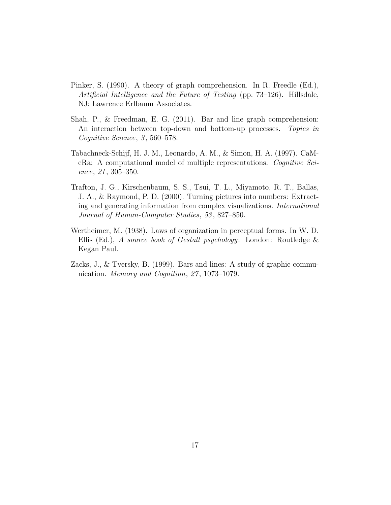- Pinker, S. (1990). A theory of graph comprehension. In R. Freedle (Ed.), Artificial Intelligence and the Future of Testing (pp. 73–126). Hillsdale, NJ: Lawrence Erlbaum Associates.
- Shah, P., & Freedman, E. G. (2011). Bar and line graph comprehension: An interaction between top-down and bottom-up processes. Topics in Cognitive Science, 3, 560–578.
- Tabachneck-Schijf, H. J. M., Leonardo, A. M., & Simon, H. A. (1997). CaMeRa: A computational model of multiple representations. Cognitive Science, 21, 305–350.
- Trafton, J. G., Kirschenbaum, S. S., Tsui, T. L., Miyamoto, R. T., Ballas, J. A., & Raymond, P. D. (2000). Turning pictures into numbers: Extracting and generating information from complex visualizations. International Journal of Human-Computer Studies, 53 , 827–850.
- Wertheimer, M. (1938). Laws of organization in perceptual forms. In W. D. Ellis (Ed.), A source book of Gestalt psychology. London: Routledge  $\&$ Kegan Paul.
- Zacks, J., & Tversky, B. (1999). Bars and lines: A study of graphic communication. *Memory and Cognition*, 27, 1073–1079.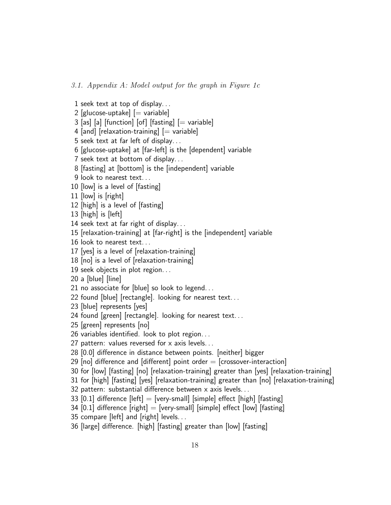1 seek text at top of display. . .

2  $[g|$ ucose-uptake $]$  $[$  = variable $]$ 

3 [as] [a] [function] [of] [fasting]  $[=$  variable]

4 [and] [relaxation-training]  $[=$  variable]

5 seek text at far left of display. . .

6 [glucose-uptake] at [far-left] is the [dependent] variable

7 seek text at bottom of display. . .

8 [fasting] at [bottom] is the [independent] variable

9 look to nearest text. . .

10 [low] is a level of [fasting]

11 [low] is [right]

12 [high] is a level of [fasting]

13 [high] is [left]

14 seek text at far right of display. . .

15 [relaxation-training] at [far-right] is the [independent] variable

16 look to nearest text. . .

17 [yes] is a level of [relaxation-training]

18 [no] is a level of [relaxation-training]

19 seek objects in plot region. . .

20 a [blue] [line]

21 no associate for [blue] so look to legend. . .

22 found [blue] [rectangle]. looking for nearest text. . .

23 [blue] represents [yes]

24 found [green] [rectangle]. looking for nearest text...

25 [green] represents [no]

26 variables identified. look to plot region. . .

27 pattern: values reversed for x axis levels...

28 [0.0] difference in distance between points. [neither] bigger

29  $[no]$  difference and  $[different]$  point order  $=$   $[crossover-interaction]$ 

30 for [low] [fasting] [no] [relaxation-training] greater than [yes] [relaxation-training]

31 for [high] [fasting] [yes] [relaxation-training] greater than [no] [relaxation-training] 32 pattern: substantial difference between x axis levels. . .

33 [0.1] difference [left] = [very-small] [simple] effect [high] [fasting]

34  $[0.1]$  difference  $[right] = [very small]$  [simple] effect  $[low]$  [fasting]

35 compare [left] and [right] levels. . .

36 [large] difference. [high] [fasting] greater than [low] [fasting]